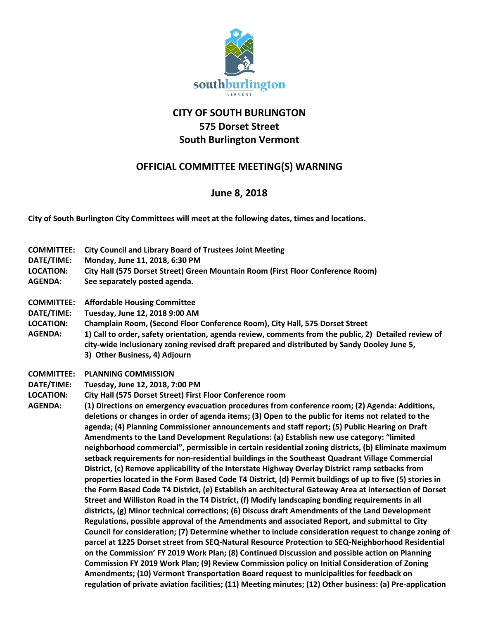

## **CITY OF SOUTH BURLINGTON 575 Dorset Street South Burlington Vermont**

## **OFFICIAL COMMITTEE MEETING(S) WARNING**

## **June 8, 2018**

**City of South Burlington City Committees will meet at the following dates, times and locations.** 

- **COMMITTEE: City Council and Library Board of Trustees Joint Meeting**
- **DATE/TIME: Monday, June 11, 2018, 6:30 PM**
- **LOCATION: City Hall (575 Dorset Street) Green Mountain Room (First Floor Conference Room)**
- **AGENDA: See separately posted agenda.**
- **COMMITTEE: Affordable Housing Committee**
- **DATE/TIME: Tuesday, June 12, 2018 9:00 AM**
- **LOCATION: Champlain Room, (Second Floor Conference Room), City Hall, 575 Dorset Street**
- **AGENDA: 1) Call to order, safety orientation, agenda review, comments from the public, 2) Detailed review of city-wide inclusionary zoning revised draft prepared and distributed by Sandy Dooley June 5, 3) Other Business, 4) Adjourn**
- **COMMITTEE: PLANNING COMMISSION**
- **DATE/TIME: Tuesday, June 12, 2018, 7:00 PM**
- **LOCATION: City Hall (575 Dorset Street) First Floor Conference room**

**AGENDA: (1) Directions on emergency evacuation procedures from conference room; (2) Agenda: Additions, deletions or changes in order of agenda items; (3) Open to the public for items not related to the agenda; (4) Planning Commissioner announcements and staff report; (5) Public Hearing on Draft Amendments to the Land Development Regulations: (a) Establish new use category: "limited neighborhood commercial", permissible in certain residential zoning districts, (b) Eliminate maximum setback requirements for non-residential buildings in the Southeast Quadrant Village Commercial District, (c) Remove applicability of the Interstate Highway Overlay District ramp setbacks from properties located in the Form Based Code T4 District, (d) Permit buildings of up to five (5) stories in the Form Based Code T4 District, (e) Establish an architectural Gateway Area at intersection of Dorset Street and Williston Road in the T4 District, (f) Modify landscaping bonding requirements in all districts, (g) Minor technical corrections; (6) Discuss draft Amendments of the Land Development Regulations, possible approval of the Amendments and associated Report, and submittal to City Council for consideration; (7) Determine whether to include consideration request to change zoning of parcel at 1225 Dorset street from SEQ-Natural Resource Protection to SEQ-Neighborhood Residential on the Commission' FY 2019 Work Plan; (8) Continued Discussion and possible action on Planning Commission FY 2019 Work Plan; (9) Review Commission policy on Initial Consideration of Zoning Amendments; (10) Vermont Transportation Board request to municipalities for feedback on regulation of private aviation facilities; (11) Meeting minutes; (12) Other business: (a) Pre-application**